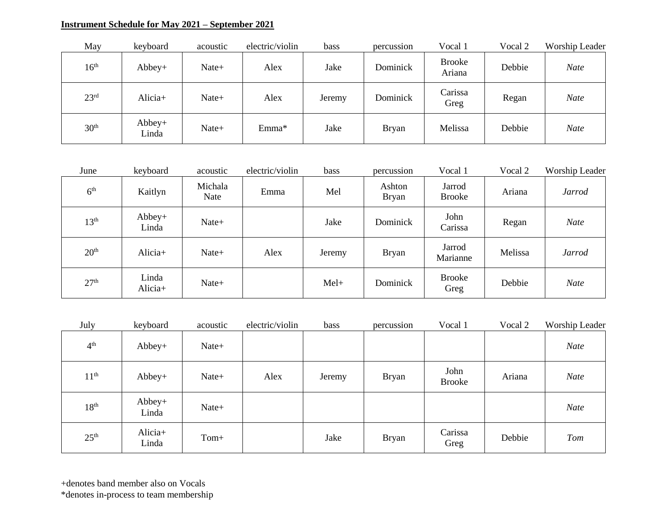## **Instrument Schedule for May 2021 – September 2021**

| May              | keyboard          | acoustic | electric/violin | bass   | percussion   | Vocal 1                 | Vocal 2 | Worship Leader |
|------------------|-------------------|----------|-----------------|--------|--------------|-------------------------|---------|----------------|
| 16 <sup>th</sup> | $Abbey+$          | Nate+    | Alex            | Jake   | Dominick     | <b>Brooke</b><br>Ariana | Debbie  | <b>Nate</b>    |
| 23 <sup>rd</sup> | Alicia+           | Nate+    | Alex            | Jeremy | Dominick     | Carissa<br>Greg         | Regan   | <b>Nate</b>    |
| 30 <sup>th</sup> | $Abbey+$<br>Linda | Nate+    | Emma*           | Jake   | <b>Bryan</b> | Melissa                 | Debbie  | <b>Nate</b>    |

| June             | keyboard          | acoustic        | electric/violin | <b>bass</b> | percussion             | Vocal 1                 | Vocal 2 | Worship Leader |
|------------------|-------------------|-----------------|-----------------|-------------|------------------------|-------------------------|---------|----------------|
| 6 <sup>th</sup>  | Kaitlyn           | Michala<br>Nate | Emma            | Mel         | Ashton<br><b>Bryan</b> | Jarrod<br><b>Brooke</b> | Ariana  | <b>Jarrod</b>  |
| 13 <sup>th</sup> | $Abbey+$<br>Linda | Nate+           |                 | Jake        | Dominick               | John<br>Carissa         | Regan   | <b>Nate</b>    |
| 20 <sup>th</sup> | Alicia+           | Nate+           | Alex            | Jeremy      | <b>Bryan</b>           | Jarrod<br>Marianne      | Melissa | <b>Jarrod</b>  |
| 27 <sup>th</sup> | Linda<br>Alicia+  | Nate+           |                 | $Mel+$      | Dominick               | <b>Brooke</b><br>Greg   | Debbie  | <b>Nate</b>    |

| July             | keyboard         | acoustic | electric/violin | bass   | percussion   | Vocal 1               | Vocal 2 | Worship Leader |
|------------------|------------------|----------|-----------------|--------|--------------|-----------------------|---------|----------------|
| 4 <sup>th</sup>  | Abbey+           | Nate+    |                 |        |              |                       |         | <b>Nate</b>    |
| 11 <sup>th</sup> | $Abbey+$         | Nate+    | Alex            | Jeremy | <b>Bryan</b> | John<br><b>Brooke</b> | Ariana  | <b>Nate</b>    |
| 18 <sup>th</sup> | Abbey+<br>Linda  | Nate+    |                 |        |              |                       |         | <b>Nate</b>    |
| 25 <sup>th</sup> | Alicia+<br>Linda | Tom+     |                 | Jake   | <b>Bryan</b> | Carissa<br>Greg       | Debbie  | Tom            |

+denotes band member also on Vocals

\*denotes in-process to team membership